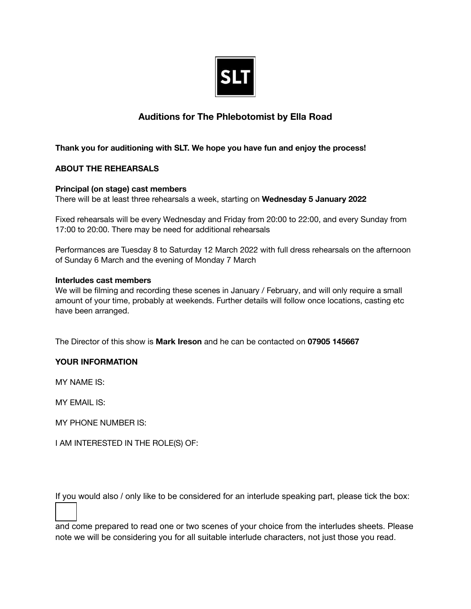

## **Auditions for The Phlebotomist by Ella Road**

## **Thank you for auditioning with SLT. We hope you have fun and enjoy the process!**

## **ABOUT THE REHEARSALS**

#### **Principal (on stage) cast members**

There will be at least three rehearsals a week, starting on **Wednesday 5 January 2022**

Fixed rehearsals will be every Wednesday and Friday from 20:00 to 22:00, and every Sunday from 17:00 to 20:00. There may be need for additional rehearsals

Performances are Tuesday 8 to Saturday 12 March 2022 with full dress rehearsals on the afternoon of Sunday 6 March and the evening of Monday 7 March

#### **Interludes cast members**

We will be filming and recording these scenes in January / February, and will only require a small amount of your time, probably at weekends. Further details will follow once locations, casting etc have been arranged.

The Director of this show is **Mark Ireson** and he can be contacted on **07905 145667**

#### **YOUR INFORMATION**

MY NAME IS:

MY EMAIL IS:

MY PHONE NUMBER IS:

I AM INTERESTED IN THE ROLE(S) OF:

If you would also / only like to be considered for an interlude speaking part, please tick the box:

and come prepared to read one or two scenes of your choice from the interludes sheets. Please note we will be considering you for all suitable interlude characters, not just those you read.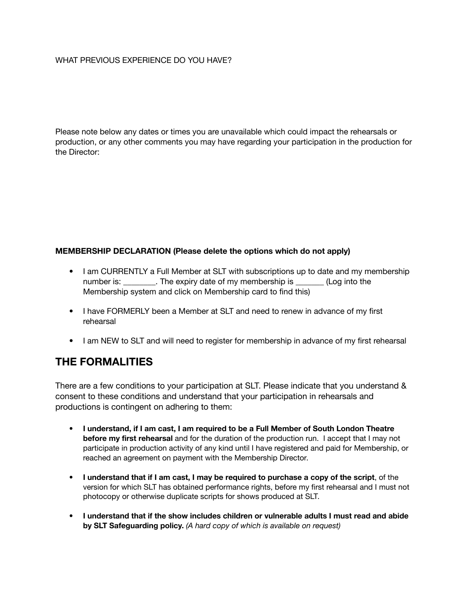#### WHAT PREVIOUS EXPERIENCE DO YOU HAVE?

Please note below any dates or times you are unavailable which could impact the rehearsals or production, or any other comments you may have regarding your participation in the production for the Director:

### **MEMBERSHIP DECLARATION (Please delete the options which do not apply)**

- I am CURRENTLY a Full Member at SLT with subscriptions up to date and my membership number is: The expiry date of my membership is  $($ Log into the Membership system and click on Membership card to find this)
- I have FORMERLY been a Member at SLT and need to renew in advance of my first rehearsal
- I am NEW to SLT and will need to register for membership in advance of my first rehearsal

# **THE FORMALITIES**

There are a few conditions to your participation at SLT. Please indicate that you understand & consent to these conditions and understand that your participation in rehearsals and productions is contingent on adhering to them:

- **I understand, if I am cast, I am required to be a Full Member of South London Theatre before my first rehearsal** and for the duration of the production run. I accept that I may not participate in production activity of any kind until I have registered and paid for Membership, or reached an agreement on payment with the Membership Director.
- **I understand that if I am cast, I may be required to purchase a copy of the script**, of the version for which SLT has obtained performance rights, before my first rehearsal and I must not photocopy or otherwise duplicate scripts for shows produced at SLT.
- **I understand that if the show includes children or vulnerable adults I must read and abide by SLT Safeguarding policy.** *(A hard copy of which is available on request)*